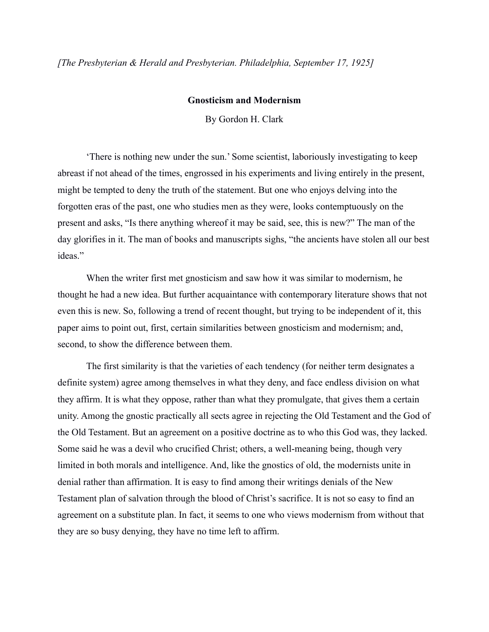*[The Presbyterian & Herald and Presbyterian. Philadelphia, September 17, 1925]*

## **Gnosticism and Modernism**

By Gordon H. Clark

'There is nothing new under the sun.' Some scientist, laboriously investigating to keep abreast if not ahead of the times, engrossed in his experiments and living entirely in the present, might be tempted to deny the truth of the statement. But one who enjoys delving into the forgotten eras of the past, one who studies men as they were, looks contemptuously on the present and asks, "Is there anything whereof it may be said, see, this is new?" The man of the day glorifies in it. The man of books and manuscripts sighs, "the ancients have stolen all our best ideas"

When the writer first met gnosticism and saw how it was similar to modernism, he thought he had a new idea. But further acquaintance with contemporary literature shows that not even this is new. So, following a trend of recent thought, but trying to be independent of it, this paper aims to point out, first, certain similarities between gnosticism and modernism; and, second, to show the difference between them.

The first similarity is that the varieties of each tendency (for neither term designates a definite system) agree among themselves in what they deny, and face endless division on what they affirm. It is what they oppose, rather than what they promulgate, that gives them a certain unity. Among the gnostic practically all sects agree in rejecting the Old Testament and the God of the Old Testament. But an agreement on a positive doctrine as to who this God was, they lacked. Some said he was a devil who crucified Christ; others, a well-meaning being, though very limited in both morals and intelligence. And, like the gnostics of old, the modernists unite in denial rather than affirmation. It is easy to find among their writings denials of the New Testament plan of salvation through the blood of Christ's sacrifice. It is not so easy to find an agreement on a substitute plan. In fact, it seems to one who views modernism from without that they are so busy denying, they have no time left to affirm.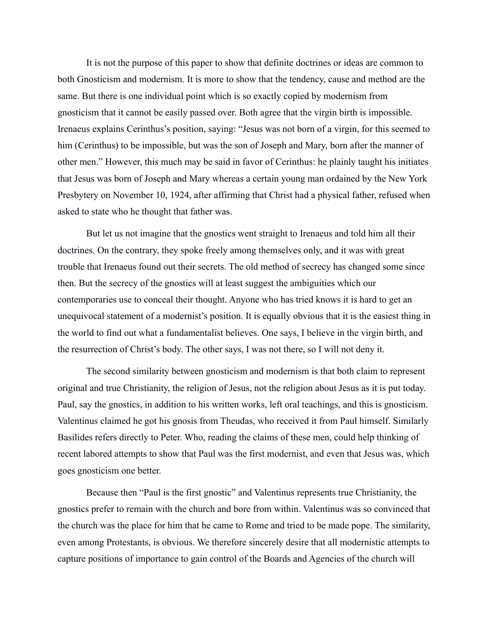It is not the purpose of this paper to show that definite doctrines or ideas are common to both Gnosticism and modernism. It is more to show that the tendency, cause and method are the same. But there is one individual point which is so exactly copied by modernism from gnosticism that it cannot be easily passed over. Both agree that the virgin birth is impossible. Irenaeus explains Cerinthus's position, saying: "Jesus was not born of a virgin, for this seemed to him (Cerinthus) to be impossible, but was the son of Joseph and Mary, born after the manner of other men." However, this much may be said in favor of Cerinthus: he plainly taught his initiates that Jesus was born of Joseph and Mary whereas a certain young man ordained by the New York Presbytery on November 10, 1924, after affirming that Christ had a physical father, refused when asked to state who he thought that father was.

But let us not imagine that the gnostics went straight to Irenaeus and told him all their doctrines. On the contrary, they spoke freely among themselves only, and it was with great trouble that Irenaeus found out their secrets. The old method of secrecy has changed some since then. But the secrecy of the gnostics will at least suggest the ambiguities which our contemporaries use to conceal their thought. Anyone who has tried knows it is hard to get an unequivocal statement of a modernist's position. It is equally obvious that it is the easiest thing in the world to find out what a fundamentalist believes. One says, I believe in the virgin birth, and the resurrection of Christ's body. The other says, I was not there, so I will not deny it.

The second similarity between gnosticism and modernism is that both claim to represent original and true Christianity, the religion of Jesus, not the religion about Jesus as it is put today. Paul, say the gnostics, in addition to his written works, left oral teachings, and this is gnosticism. Valentinus claimed he got his gnosis from Theudas, who received it from Paul himself. Similarly Basilides refers directly to Peter. Who, reading the claims of these men, could help thinking of recent labored attempts to show that Paul was the first modernist, and even that Jesus was, which goes gnosticism one better.

Because then "Paul is the first gnostic" and Valentinus represents true Christianity, the gnostics prefer to remain with the church and bore from within. Valentinus was so convinced that the church was the place for him that he came to Rome and tried to be made pope. The similarity, even among Protestants, is obvious. We therefore sincerely desire that all modernistic attempts to capture positions of importance to gain control of the Boards and Agencies of the church will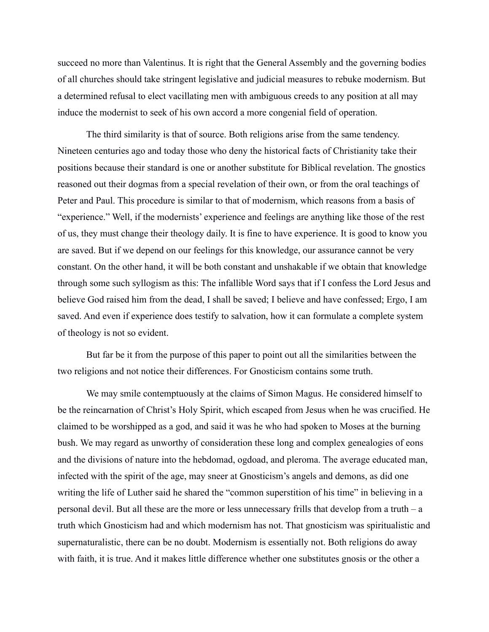succeed no more than Valentinus. It is right that the General Assembly and the governing bodies of all churches should take stringent legislative and judicial measures to rebuke modernism. But a determined refusal to elect vacillating men with ambiguous creeds to any position at all may induce the modernist to seek of his own accord a more congenial field of operation.

The third similarity is that of source. Both religions arise from the same tendency. Nineteen centuries ago and today those who deny the historical facts of Christianity take their positions because their standard is one or another substitute for Biblical revelation. The gnostics reasoned out their dogmas from a special revelation of their own, or from the oral teachings of Peter and Paul. This procedure is similar to that of modernism, which reasons from a basis of "experience." Well, if the modernists' experience and feelings are anything like those of the rest of us, they must change their theology daily. It is fine to have experience. It is good to know you are saved. But if we depend on our feelings for this knowledge, our assurance cannot be very constant. On the other hand, it will be both constant and unshakable if we obtain that knowledge through some such syllogism as this: The infallible Word says that if I confess the Lord Jesus and believe God raised him from the dead, I shall be saved; I believe and have confessed; Ergo, I am saved. And even if experience does testify to salvation, how it can formulate a complete system of theology is not so evident.

But far be it from the purpose of this paper to point out all the similarities between the two religions and not notice their differences. For Gnosticism contains some truth.

We may smile contemptuously at the claims of Simon Magus. He considered himself to be the reincarnation of Christ's Holy Spirit, which escaped from Jesus when he was crucified. He claimed to be worshipped as a god, and said it was he who had spoken to Moses at the burning bush. We may regard as unworthy of consideration these long and complex genealogies of eons and the divisions of nature into the hebdomad, ogdoad, and pleroma. The average educated man, infected with the spirit of the age, may sneer at Gnosticism's angels and demons, as did one writing the life of Luther said he shared the "common superstition of his time" in believing in a personal devil. But all these are the more or less unnecessary frills that develop from a truth – a truth which Gnosticism had and which modernism has not. That gnosticism was spiritualistic and supernaturalistic, there can be no doubt. Modernism is essentially not. Both religions do away with faith, it is true. And it makes little difference whether one substitutes gnosis or the other a